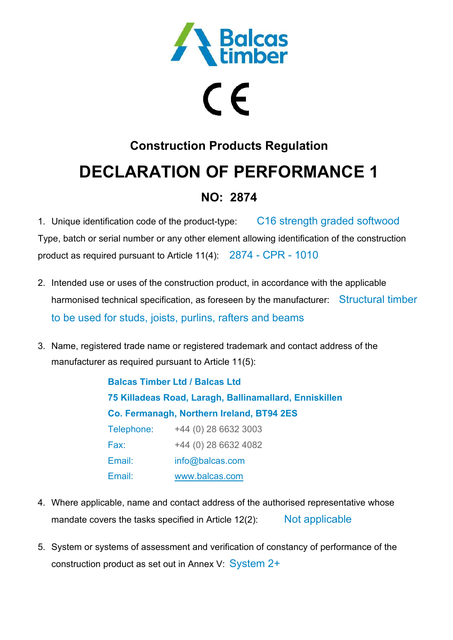

# $\epsilon$

## **Construction Products Regulation DECLARATION OF PERFORMANCE 1**

### **NO: 2874**

1. Unique identification code of the product-type: C16 strength graded softwood Type, batch or serial number or any other element allowing identification of the construction product as required pursuant to Article 11(4): 2874 - CPR - 1010

- 2. Intended use or uses of the construction product, in accordance with the applicable harmonised technical specification, as foreseen by the manufacturer: Structural timber to be used for studs, joists, purlins, rafters and beams
- 3. Name, registered trade name or registered trademark and contact address of the manufacturer as required pursuant to Article 11(5):

**Balcas Timber Ltd / Balcas Ltd 75 Killadeas Road, Laragh, Ballinamallard, Enniskillen Co. Fermanagh, Northern Ireland, BT94 2ES**  Telephone: +44 (0) 28 6632 3003 Fax: +44 (0) 28 6632 4082 Email: info@balcas.com Email: www.balcas.com

- 4. Where applicable, name and contact address of the authorised representative whose mandate covers the tasks specified in Article 12(2): Not applicable
- 5. System or systems of assessment and verification of constancy of performance of the construction product as set out in Annex V: System 2+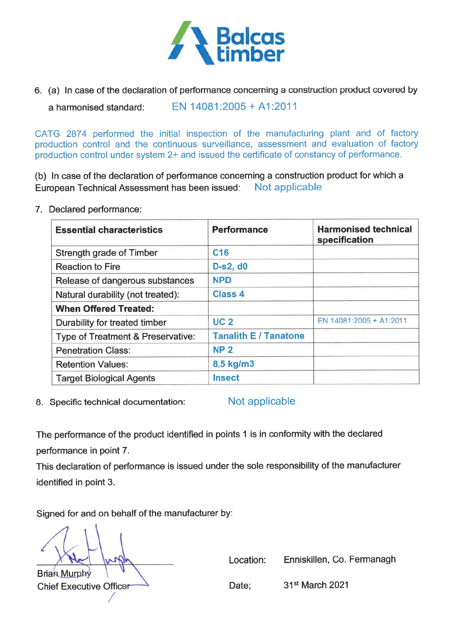

6. (a) In case of the declaration of performance concerning a construction product covered by

EN 14081:2005 + A1:2011 a harmonised standard:

CATG 2874 performed the initial inspection of the manufacturing plant and of factory production control and the continuous surveillance, assessment and evaluation of factory production control under system 2+ and issued the certificate of constancy of performance.

(b) In case of the declaration of performance concerning a construction product for which a Not applicable European Technical Assessment has been issued:

7. Declared performance:

| <b>Essential characteristics</b>  | <b>Performance</b>           | <b>Harmonised technical</b><br>specification |
|-----------------------------------|------------------------------|----------------------------------------------|
| Strength grade of Timber          | C <sub>16</sub>              |                                              |
| <b>Reaction to Fire</b>           | D-s2, d0                     |                                              |
| Release of dangerous substances   | <b>NPD</b>                   |                                              |
| Natural durability (not treated): | <b>Class 4</b>               |                                              |
| <b>When Offered Treated:</b>      |                              |                                              |
| Durability for treated timber     | <b>UC2</b>                   | EN 14081:2005 + A1:2011                      |
| Type of Treatment & Preservative: | <b>Tanalith E / Tanatone</b> |                                              |
| <b>Penetration Class:</b>         | <b>NP 2</b>                  |                                              |
| <b>Retention Values:</b>          | 8.5 kg/m3                    |                                              |
| <b>Target Biological Agents</b>   | <b>Insect</b>                |                                              |

8. Specific technical documentation:

Not applicable

The performance of the product identified in points 1 is in conformity with the declared performance in point 7.

This declaration of performance is issued under the sole responsibility of the manufacturer identified in point 3.

Signed for and on behalf of the manufacturer by:

**Brian Murphy Chief Executive Officer**  Location: Enniskillen, Co. Fermanagh

Date;

31<sup>st</sup> March 2021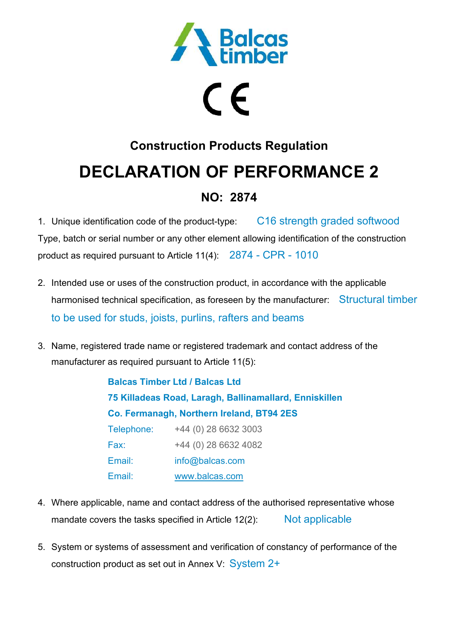

# $\epsilon$

## **Construction Products Regulation DECLARATION OF PERFORMANCE 2**

### **NO: 2874**

1. Unique identification code of the product-type: C16 strength graded softwood Type, batch or serial number or any other element allowing identification of the construction product as required pursuant to Article 11(4): 2874 - CPR - 1010

- 2. Intended use or uses of the construction product, in accordance with the applicable harmonised technical specification, as foreseen by the manufacturer: Structural timber to be used for studs, joists, purlins, rafters and beams
- 3. Name, registered trade name or registered trademark and contact address of the manufacturer as required pursuant to Article 11(5):

**Balcas Timber Ltd / Balcas Ltd 75 Killadeas Road, Laragh, Ballinamallard, Enniskillen Co. Fermanagh, Northern Ireland, BT94 2ES**  Telephone: +44 (0) 28 6632 3003 Fax: +44 (0) 28 6632 4082 Email: info@balcas.com Email: www.balcas.com

- 4. Where applicable, name and contact address of the authorised representative whose mandate covers the tasks specified in Article 12(2): Not applicable
- 5. System or systems of assessment and verification of constancy of performance of the construction product as set out in Annex V: System 2+